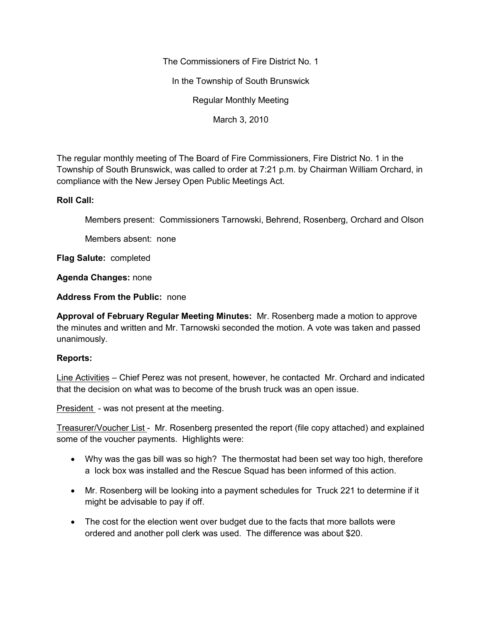The Commissioners of Fire District No. 1

In the Township of South Brunswick

Regular Monthly Meeting

March 3, 2010

The regular monthly meeting of The Board of Fire Commissioners, Fire District No. 1 in the Township of South Brunswick, was called to order at 7:21 p.m. by Chairman William Orchard, in compliance with the New Jersey Open Public Meetings Act.

## **Roll Call:**

Members present: Commissioners Tarnowski, Behrend, Rosenberg, Orchard and Olson

Members absent: none

**Flag Salute:** completed

**Agenda Changes:** none

**Address From the Public:** none

**Approval of February Regular Meeting Minutes:** Mr. Rosenberg made a motion to approve the minutes and written and Mr. Tarnowski seconded the motion. A vote was taken and passed unanimously.

## **Reports:**

Line Activities – Chief Perez was not present, however, he contacted Mr. Orchard and indicated that the decision on what was to become of the brush truck was an open issue.

President - was not present at the meeting.

Treasurer/Voucher List - Mr. Rosenberg presented the report (file copy attached) and explained some of the voucher payments. Highlights were:

- Why was the gas bill was so high? The thermostat had been set way too high, therefore a lock box was installed and the Rescue Squad has been informed of this action.
- Mr. Rosenberg will be looking into a payment schedules for Truck 221 to determine if it might be advisable to pay if off.
- The cost for the election went over budget due to the facts that more ballots were ordered and another poll clerk was used. The difference was about \$20.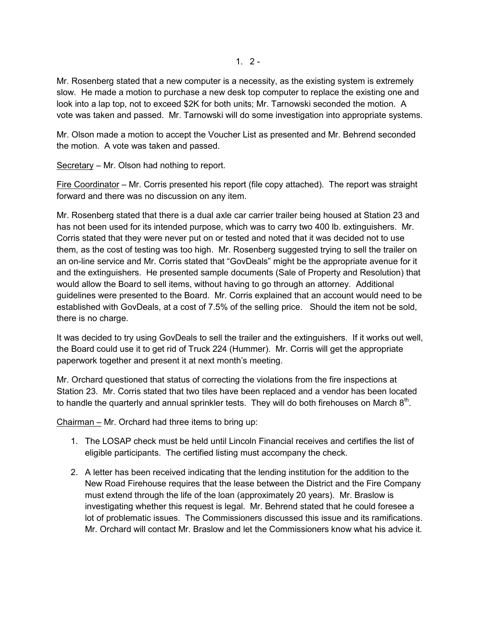Mr. Rosenberg stated that a new computer is a necessity, as the existing system is extremely slow. He made a motion to purchase a new desk top computer to replace the existing one and look into a lap top, not to exceed \$2K for both units; Mr. Tarnowski seconded the motion. A vote was taken and passed. Mr. Tarnowski will do some investigation into appropriate systems.

Mr. Olson made a motion to accept the Voucher List as presented and Mr. Behrend seconded the motion. A vote was taken and passed.

Secretary – Mr. Olson had nothing to report.

Fire Coordinator – Mr. Corris presented his report (file copy attached). The report was straight forward and there was no discussion on any item.

Mr. Rosenberg stated that there is a dual axle car carrier trailer being housed at Station 23 and has not been used for its intended purpose, which was to carry two 400 lb. extinguishers. Mr. Corris stated that they were never put on or tested and noted that it was decided not to use them, as the cost of testing was too high. Mr. Rosenberg suggested trying to sell the trailer on an on-line service and Mr. Corris stated that "GovDeals" might be the appropriate avenue for it and the extinguishers. He presented sample documents (Sale of Property and Resolution) that would allow the Board to sell items, without having to go through an attorney. Additional guidelines were presented to the Board. Mr. Corris explained that an account would need to be established with GovDeals, at a cost of 7.5% of the selling price. Should the item not be sold, there is no charge.

It was decided to try using GovDeals to sell the trailer and the extinguishers. If it works out well, the Board could use it to get rid of Truck 224 (Hummer). Mr. Corris will get the appropriate paperwork together and present it at next month's meeting.

Mr. Orchard questioned that status of correcting the violations from the fire inspections at Station 23. Mr. Corris stated that two tiles have been replaced and a vendor has been located to handle the quarterly and annual sprinkler tests. They will do both firehouses on March  $8^\text{th}$ .

Chairman – Mr. Orchard had three items to bring up:

- 1. The LOSAP check must be held until Lincoln Financial receives and certifies the list of eligible participants. The certified listing must accompany the check.
- 2. A letter has been received indicating that the lending institution for the addition to the New Road Firehouse requires that the lease between the District and the Fire Company must extend through the life of the loan (approximately 20 years). Mr. Braslow is investigating whether this request is legal. Mr. Behrend stated that he could foresee a lot of problematic issues. The Commissioners discussed this issue and its ramifications. Mr. Orchard will contact Mr. Braslow and let the Commissioners know what his advice it.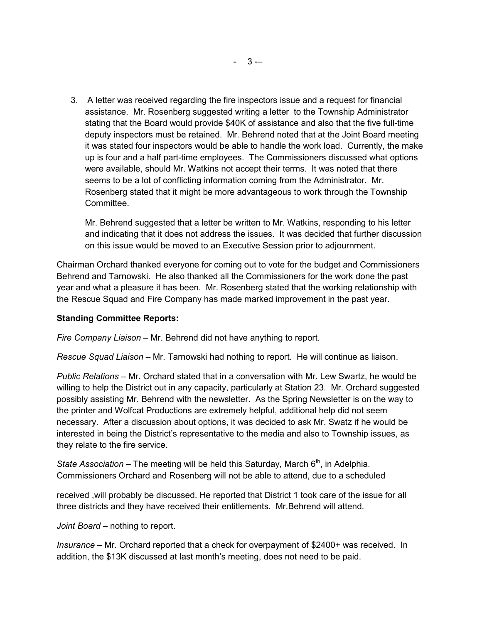3. A letter was received regarding the fire inspectors issue and a request for financial assistance. Mr. Rosenberg suggested writing a letter to the Township Administrator stating that the Board would provide \$40K of assistance and also that the five full-time deputy inspectors must be retained. Mr. Behrend noted that at the Joint Board meeting it was stated four inspectors would be able to handle the work load. Currently, the make up is four and a half part-time employees. The Commissioners discussed what options were available, should Mr. Watkins not accept their terms. It was noted that there seems to be a lot of conflicting information coming from the Administrator. Mr. Rosenberg stated that it might be more advantageous to work through the Township Committee.

Mr. Behrend suggested that a letter be written to Mr. Watkins, responding to his letter and indicating that it does not address the issues. It was decided that further discussion on this issue would be moved to an Executive Session prior to adjournment.

Chairman Orchard thanked everyone for coming out to vote for the budget and Commissioners Behrend and Tarnowski. He also thanked all the Commissioners for the work done the past year and what a pleasure it has been. Mr. Rosenberg stated that the working relationship with the Rescue Squad and Fire Company has made marked improvement in the past year.

## **Standing Committee Reports:**

*Fire Company Liaison –* Mr. Behrend did not have anything to report.

*Rescue Squad Liaison –* Mr. Tarnowski had nothing to report. He will continue as liaison.

*Public Relations –* Mr. Orchard stated that in a conversation with Mr. Lew Swartz, he would be willing to help the District out in any capacity, particularly at Station 23. Mr. Orchard suggested possibly assisting Mr. Behrend with the newsletter. As the Spring Newsletter is on the way to the printer and Wolfcat Productions are extremely helpful, additional help did not seem necessary. After a discussion about options, it was decided to ask Mr. Swatz if he would be interested in being the District's representative to the media and also to Township issues, as they relate to the fire service.

*State Association* – The meeting will be held this Saturday, March 6<sup>th</sup>, in Adelphia. Commissioners Orchard and Rosenberg will not be able to attend, due to a scheduled

received ,will probably be discussed. He reported that District 1 took care of the issue for all three districts and they have received their entitlements. Mr.Behrend will attend.

*Joint Board –* nothing to report.

*Insurance –* Mr. Orchard reported that a check for overpayment of \$2400+ was received. In addition, the \$13K discussed at last month's meeting, does not need to be paid.